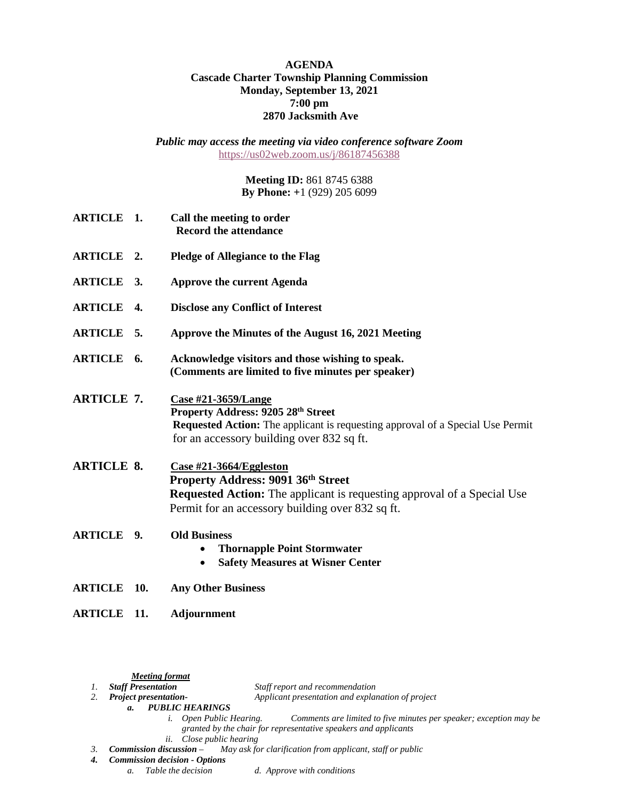## **AGENDA Cascade Charter Township Planning Commission Monday, September 13, 2021 7:00 pm 2870 Jacksmith Ave**

*Public may access the meeting via video conference software Zoom* <https://us02web.zoom.us/j/86187456388>

> **Meeting ID:** 861 8745 6388 **By Phone: +**1 (929) 205 6099

| <b>ARTICLE 1.</b>  |     | Call the meeting to order<br><b>Record the attendance</b>                                                                                                                                                  |
|--------------------|-----|------------------------------------------------------------------------------------------------------------------------------------------------------------------------------------------------------------|
| <b>ARTICLE 2.</b>  |     | <b>Pledge of Allegiance to the Flag</b>                                                                                                                                                                    |
| ARTICLE 3.         |     | <b>Approve the current Agenda</b>                                                                                                                                                                          |
| <b>ARTICLE 4.</b>  |     | <b>Disclose any Conflict of Interest</b>                                                                                                                                                                   |
| <b>ARTICLE 5.</b>  |     | Approve the Minutes of the August 16, 2021 Meeting                                                                                                                                                         |
| ARTICLE 6.         |     | Acknowledge visitors and those wishing to speak.<br>(Comments are limited to five minutes per speaker)                                                                                                     |
| <b>ARTICLE 7.</b>  |     | Case #21-3659/Lange<br>Property Address: 9205 28th Street<br>Requested Action: The applicant is requesting approval of a Special Use Permit<br>for an accessory building over 832 sq ft.                   |
| <b>ARTICLE 8.</b>  |     | Case #21-3664/Eggleston<br><b>Property Address: 9091 36th Street</b><br><b>Requested Action:</b> The applicant is requesting approval of a Special Use<br>Permit for an accessory building over 832 sq ft. |
| <b>ARTICLE 9.</b>  |     | <b>Old Business</b><br><b>Thornapple Point Stormwater</b><br><b>Safety Measures at Wisner Center</b><br>$\bullet$                                                                                          |
| <b>ARTICLE 10.</b> |     | <b>Any Other Business</b>                                                                                                                                                                                  |
| <b>ARTICLE</b>     | 11. | <b>Adjournment</b>                                                                                                                                                                                         |

*<u>Meeting format</u><br>1. Staff Presentation* 

- *1. Staff Presentation Staff report and recommendation*
	- *2. Project presentation- Applicant presentation and explanation of project*
	- *a. PUBLIC HEARINGS*
		- *i. Open Public Hearing. Comments are limited to five minutes per speaker; exception may be granted by the chair for representative speakers and applicants*
		-
- *ii. Close public hearing*<br>*3. Commission discussion May ask fo May ask for clarification from applicant, staff or public*
- *4. Commission decision - Options*
	- *a. Table the decision d. Approve with conditions*